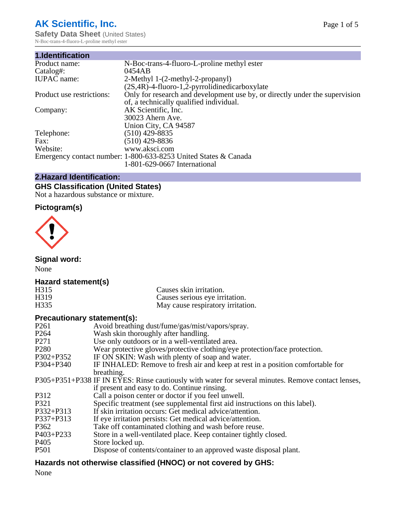# **AK Scientific, Inc.**

**Safety Data Sheet (United States)** N-Boc-trans-4-fluoro-L-proline methyl ester

| 1.Identification          |                                                                             |
|---------------------------|-----------------------------------------------------------------------------|
| Product name:             | N-Boc-trans-4-fluoro-L-proline methyl ester                                 |
| Catalog#:                 | 0454AB                                                                      |
| <b>IUPAC</b> name:        | 2-Methyl 1-(2-methyl-2-propanyl)                                            |
|                           | $(2S, 4R)$ -4-fluoro-1,2-pyrrolidinedicarboxylate                           |
| Product use restrictions: | Only for research and development use by, or directly under the supervision |
|                           | of, a technically qualified individual.                                     |
| Company:                  | AK Scientific, Inc.                                                         |
|                           | 30023 Ahern Ave.                                                            |
|                           | Union City, CA 94587                                                        |
| Telephone:                | $(510)$ 429-8835                                                            |
| Fax:                      | $(510)$ 429-8836                                                            |
| Website:                  | www.aksci.com                                                               |
|                           | Emergency contact number: 1-800-633-8253 United States & Canada             |
|                           | 1-801-629-0667 International                                                |
|                           |                                                                             |

#### **2.Hazard Identification:**

### **GHS Classification (United States)**

Not a hazardous substance or mixture.

#### **Pictogram(s)**



**Signal word:**

None

### **Hazard statement(s)**

| Hazard statement(S)         |                                                                                                                                                                                                                               |
|-----------------------------|-------------------------------------------------------------------------------------------------------------------------------------------------------------------------------------------------------------------------------|
| H315                        | Causes skin irritation.                                                                                                                                                                                                       |
| H319                        | Causes serious eye irritation.                                                                                                                                                                                                |
| H335                        | May cause respiratory irritation.                                                                                                                                                                                             |
| Precautionary statement(s): |                                                                                                                                                                                                                               |
| P261                        | Avoid breathing dust/fume/gas/mist/vapors/spray.                                                                                                                                                                              |
| P264                        | Wash skin thoroughly after handling.                                                                                                                                                                                          |
| P271                        | Use only outdoors or in a well-ventilated area.                                                                                                                                                                               |
| P280                        | Wear protective gloves/protective clothing/eye protection/face protection.                                                                                                                                                    |
| P302+P352                   | IF ON SKIN: Wash with plenty of soap and water.                                                                                                                                                                               |
| P304+P340                   | IF INHALED: Remove to fresh air and keep at rest in a position comfortable for                                                                                                                                                |
|                             | breathing.                                                                                                                                                                                                                    |
|                             | P305+P351+P338 IF IN EYES: Rinse cautiously with water for several minutes. Remove contact lenses,                                                                                                                            |
|                             | if present and easy to do. Continue rinsing.                                                                                                                                                                                  |
| P312                        | Call a poison center or doctor if you feel unwell.                                                                                                                                                                            |
| P321                        | Specific treatment (see supplemental first aid instructions on this label).                                                                                                                                                   |
| P332+P313                   | If skin irritation occurs: Get medical advice/attention.                                                                                                                                                                      |
| P337+P313                   | If eye irritation persists: Get medical advice/attention.                                                                                                                                                                     |
| P362                        | Take off contaminated clothing and wash before reuse.                                                                                                                                                                         |
| P403+P233                   | Store in a well-ventilated place. Keep container tightly closed.                                                                                                                                                              |
| P405                        | Store locked up.                                                                                                                                                                                                              |
| <b>DF01</b>                 | . The contract of the contract of the contract of the contract of the contract of the contract of the contract of the contract of the contract of the contract of the contract of the contract of the contract of the contrac |

## P501 Dispose of contents/container to an approved waste disposal plant.

## **Hazards not otherwise classified (HNOC) or not covered by GHS:**

None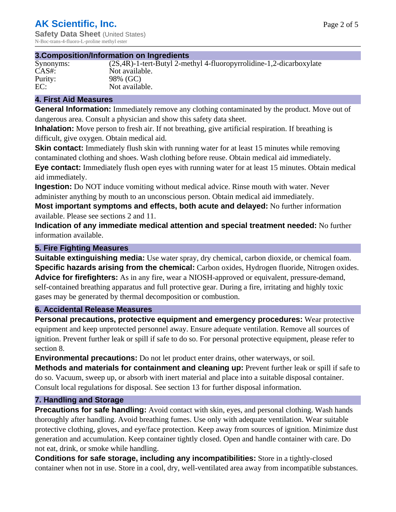#### **3.Composition/Information on Ingredients**

Purity: 98% (GC)

Synonyms: (2S,4R)-1-tert-Butyl 2-methyl 4-fluoropyrrolidine-1,2-dicarboxylate CAS#: Not available. EC: Not available.

#### **4. First Aid Measures**

**General Information:** Immediately remove any clothing contaminated by the product. Move out of dangerous area. Consult a physician and show this safety data sheet.

**Inhalation:** Move person to fresh air. If not breathing, give artificial respiration. If breathing is difficult, give oxygen. Obtain medical aid.

**Skin contact:** Immediately flush skin with running water for at least 15 minutes while removing contaminated clothing and shoes. Wash clothing before reuse. Obtain medical aid immediately. **Eye contact:** Immediately flush open eyes with running water for at least 15 minutes. Obtain medical aid immediately.

**Ingestion:** Do NOT induce vomiting without medical advice. Rinse mouth with water. Never administer anything by mouth to an unconscious person. Obtain medical aid immediately.

**Most important symptoms and effects, both acute and delayed:** No further information available. Please see sections 2 and 11.

**Indication of any immediate medical attention and special treatment needed:** No further information available.

#### **5. Fire Fighting Measures**

**Suitable extinguishing media:** Use water spray, dry chemical, carbon dioxide, or chemical foam. **Specific hazards arising from the chemical:** Carbon oxides, Hydrogen fluoride, Nitrogen oxides. **Advice for firefighters:** As in any fire, wear a NIOSH-approved or equivalent, pressure-demand, self-contained breathing apparatus and full protective gear. During a fire, irritating and highly toxic gases may be generated by thermal decomposition or combustion.

#### **6. Accidental Release Measures**

**Personal precautions, protective equipment and emergency procedures:** Wear protective equipment and keep unprotected personnel away. Ensure adequate ventilation. Remove all sources of ignition. Prevent further leak or spill if safe to do so. For personal protective equipment, please refer to section 8.

**Environmental precautions:** Do not let product enter drains, other waterways, or soil.

**Methods and materials for containment and cleaning up:** Prevent further leak or spill if safe to do so. Vacuum, sweep up, or absorb with inert material and place into a suitable disposal container. Consult local regulations for disposal. See section 13 for further disposal information.

#### **7. Handling and Storage**

**Precautions for safe handling:** Avoid contact with skin, eyes, and personal clothing. Wash hands thoroughly after handling. Avoid breathing fumes. Use only with adequate ventilation. Wear suitable protective clothing, gloves, and eye/face protection. Keep away from sources of ignition. Minimize dust generation and accumulation. Keep container tightly closed. Open and handle container with care. Do not eat, drink, or smoke while handling.

**Conditions for safe storage, including any incompatibilities:** Store in a tightly-closed container when not in use. Store in a cool, dry, well-ventilated area away from incompatible substances.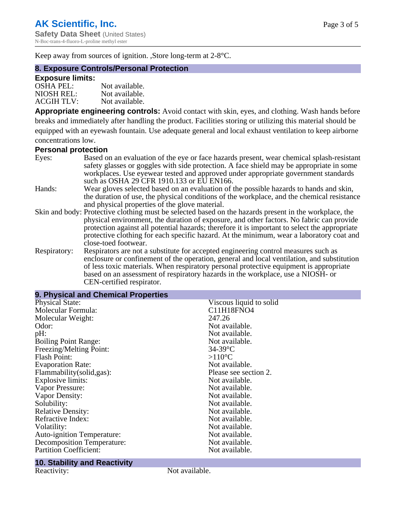Keep away from sources of ignition. ,Store long-term at 2-8°C.

#### **8. Exposure Controls/Personal Protection**

#### **Exposure limits:**

| $OSHA$ PEL:       | Not available. |
|-------------------|----------------|
| NIOSH REL:        | Not available. |
| <b>ACGIH TLV:</b> | Not available. |

**Appropriate engineering controls:** Avoid contact with skin, eyes, and clothing. Wash hands before breaks and immediately after handling the product. Facilities storing or utilizing this material should be equipped with an eyewash fountain. Use adequate general and local exhaust ventilation to keep airborne concentrations low.

#### **Personal protection**

| Eyes:        | Based on an evaluation of the eye or face hazards present, wear chemical splash-resistant<br>safety glasses or goggles with side protection. A face shield may be appropriate in some                                                                                                                                                                         |
|--------------|---------------------------------------------------------------------------------------------------------------------------------------------------------------------------------------------------------------------------------------------------------------------------------------------------------------------------------------------------------------|
|              | workplaces. Use eyewear tested and approved under appropriate government standards<br>such as OSHA 29 CFR 1910.133 or EU EN166.                                                                                                                                                                                                                               |
| Hands:       | Wear gloves selected based on an evaluation of the possible hazards to hands and skin,<br>the duration of use, the physical conditions of the workplace, and the chemical resistance<br>and physical properties of the glove material.                                                                                                                        |
|              | Skin and body: Protective clothing must be selected based on the hazards present in the workplace, the                                                                                                                                                                                                                                                        |
|              | physical environment, the duration of exposure, and other factors. No fabric can provide<br>protection against all potential hazards; therefore it is important to select the appropriate<br>protective clothing for each specific hazard. At the minimum, wear a laboratory coat and<br>close-toed footwear.                                                 |
| Respiratory: | Respirators are not a substitute for accepted engineering control measures such as<br>enclosure or confinement of the operation, general and local ventilation, and substitution<br>of less toxic materials. When respiratory personal protective equipment is appropriate<br>based on an assessment of respiratory hazards in the workplace, use a NIOSH- or |

CEN-certified respirator.

| 9. Physical and Chemical Properties |                         |  |  |
|-------------------------------------|-------------------------|--|--|
| <b>Physical State:</b>              | Viscous liquid to solid |  |  |
| Molecular Formula:                  | C11H18FNO4              |  |  |
| Molecular Weight:                   | 247.26                  |  |  |
| Odor:                               | Not available.          |  |  |
| pH:                                 | Not available.          |  |  |
| <b>Boiling Point Range:</b>         | Not available.          |  |  |
| Freezing/Melting Point:             | $34-39$ °C              |  |  |
| <b>Flash Point:</b>                 | $>110^{\circ}C$         |  |  |
| <b>Evaporation Rate:</b>            | Not available.          |  |  |
| Flammability(solid,gas):            | Please see section 2.   |  |  |
| <b>Explosive limits:</b>            | Not available.          |  |  |
| Vapor Pressure:                     | Not available.          |  |  |
| Vapor Density:                      | Not available.          |  |  |
| Solubility:                         | Not available.          |  |  |
| <b>Relative Density:</b>            | Not available.          |  |  |
| Refractive Index:                   | Not available.          |  |  |
| Volatility:                         | Not available.          |  |  |
| <b>Auto-ignition Temperature:</b>   | Not available.          |  |  |
| <b>Decomposition Temperature:</b>   | Not available.          |  |  |
| <b>Partition Coefficient:</b>       | Not available.          |  |  |

# **10. Stability and Reactivity**

Not available.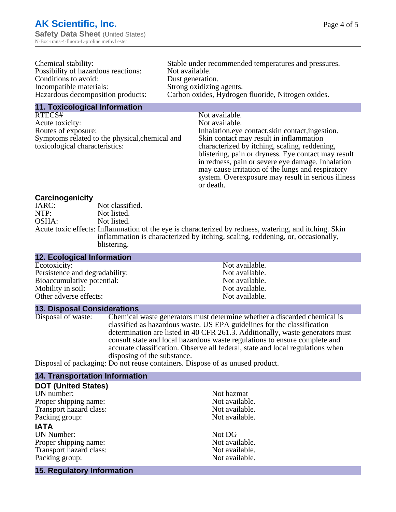| Chemical stability:                 | Stable under recommended temperatures and pressures. |
|-------------------------------------|------------------------------------------------------|
| Possibility of hazardous reactions: | Not available.                                       |
| Conditions to avoid:                | Dust generation.                                     |
| Incompatible materials:             | Strong oxidizing agents.                             |
| Hazardous decomposition products:   | Carbon oxides, Hydrogen fluoride, Nitrogen oxides.   |
|                                     |                                                      |

**11. Toxicological Information**

RTECS# Not available. Acute toxicity: Not available. Routes of exposure: Inhalation,eye contact,skin contact,ingestion. Symptoms related to the physical,chemical and toxicological characteristics:

Skin contact may result in inflammation characterized by itching, scaling, reddening, blistering, pain or dryness. Eye contact may result in redness, pain or severe eye damage. Inhalation may cause irritation of the lungs and respiratory system. Overexposure may result in serious illness or death.

# **Carcinogenicity**

IARC: Not classified.<br>
Not listed. NTP:<br>
OSHA: Not listed.<br>
Not listed. Not listed. Acute toxic effects: Inflammation of the eye is characterized by redness, watering, and itching. Skin inflammation is characterized by itching, scaling, reddening, or, occasionally, blistering.

#### **12. Ecological Information** Ecotoxicity: Not available.<br>
Not available.<br>
Not available.<br>
Not available. Persistence and degradability:<br>
Bioaccumulative potential:<br>
Not available.<br>
Not available. Bioaccumulative potential:<br>
Mobility in soil:<br>
Mobility in soil:<br>
Not available. Mobility in soil:<br>
Other adverse effects:<br>
Other adverse effects:<br>
Not available. Other adverse effects:

**13. Disposal Considerations**

Disposal of waste: Chemical waste generators must determine whether a discarded chemical is classified as hazardous waste. US EPA guidelines for the classification determination are listed in 40 CFR 261.3. Additionally, waste generators must consult state and local hazardous waste regulations to ensure complete and accurate classification. Observe all federal, state and local regulations when disposing of the substance.

Disposal of packaging: Do not reuse containers. Dispose of as unused product.

#### **14. Transportation Information**

| <b>DOT (United States)</b>        |                |
|-----------------------------------|----------------|
| UN number:                        | Not hazmat     |
| Proper shipping name:             | Not available. |
| Transport hazard class:           | Not available. |
| Packing group:                    | Not available. |
| <b>IATA</b>                       |                |
| <b>UN Number:</b>                 | Not DG         |
| Proper shipping name:             | Not available. |
| Transport hazard class:           | Not available. |
| Packing group:                    | Not available. |
| <b>15. Regulatory Information</b> |                |